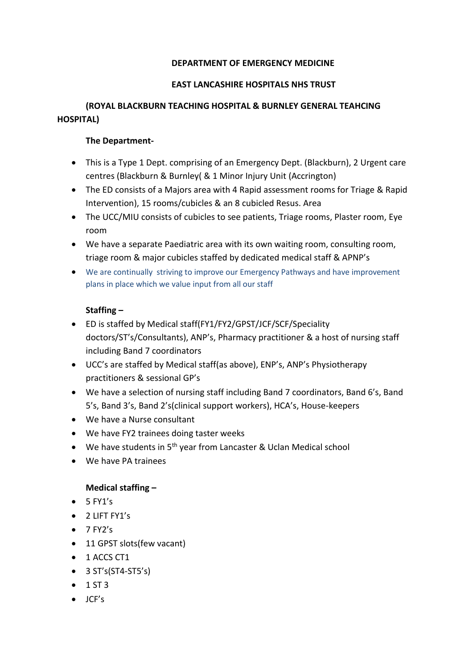## **DEPARTMENT OF EMERGENCY MEDICINE**

## **EAST LANCASHIRE HOSPITALS NHS TRUST**

# **(ROYAL BLACKBURN TEACHING HOSPITAL & BURNLEY GENERAL TEAHCING HOSPITAL)**

## **The Department-**

- This is a Type 1 Dept. comprising of an Emergency Dept. (Blackburn), 2 Urgent care centres (Blackburn & Burnley( & 1 Minor Injury Unit (Accrington)
- The ED consists of a Majors area with 4 Rapid assessment rooms for Triage & Rapid Intervention), 15 rooms/cubicles & an 8 cubicled Resus. Area
- The UCC/MIU consists of cubicles to see patients, Triage rooms, Plaster room, Eye room
- We have a separate Paediatric area with its own waiting room, consulting room, triage room & major cubicles staffed by dedicated medical staff & APNP's
- We are continually striving to improve our Emergency Pathways and have improvement plans in place which we value input from all our staff

# **Staffing –**

- ED is staffed by Medical staff(FY1/FY2/GPST/JCF/SCF/Speciality doctors/ST's/Consultants), ANP's, Pharmacy practitioner & a host of nursing staff including Band 7 coordinators
- UCC's are staffed by Medical staff(as above), ENP's, ANP's Physiotherapy practitioners & sessional GP's
- We have a selection of nursing staff including Band 7 coordinators, Band 6's, Band 5's, Band 3's, Band 2's(clinical support workers), HCA's, House-keepers
- We have a Nurse consultant
- We have FY2 trainees doing taster weeks
- We have students in  $5<sup>th</sup>$  year from Lancaster & Uclan Medical school
- We have PA trainees

## **Medical staffing –**

- $5 FY1's$
- 2 LIFT FY1's
- $\bullet$  7 FY2's
- 11 GPST slots(few vacant)
- 1 ACCS CT1
- 3 ST's(ST4-ST5's)
- $1 ST3$
- JCF's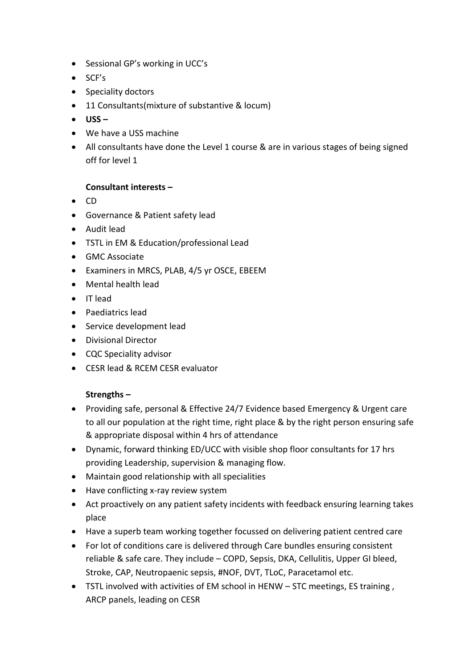- Sessional GP's working in UCC's
- SCF's
- Speciality doctors
- 11 Consultants(mixture of substantive & locum)
- **USS –**
- We have a USS machine
- All consultants have done the Level 1 course & are in various stages of being signed off for level 1

### **Consultant interests –**

- CD
- Governance & Patient safety lead
- Audit lead
- TSTL in EM & Education/professional Lead
- GMC Associate
- Examiners in MRCS, PLAB, 4/5 yr OSCE, EBEEM
- Mental health lead
- IT lead
- Paediatrics lead
- Service development lead
- Divisional Director
- CQC Speciality advisor
- CESR lead & RCEM CESR evaluator

## **Strengths –**

- Providing safe, personal & Effective 24/7 Evidence based Emergency & Urgent care to all our population at the right time, right place & by the right person ensuring safe & appropriate disposal within 4 hrs of attendance
- Dynamic, forward thinking ED/UCC with visible shop floor consultants for 17 hrs providing Leadership, supervision & managing flow.
- Maintain good relationship with all specialities
- Have conflicting x-ray review system
- Act proactively on any patient safety incidents with feedback ensuring learning takes place
- Have a superb team working together focussed on delivering patient centred care
- For lot of conditions care is delivered through Care bundles ensuring consistent reliable & safe care. They include – COPD, Sepsis, DKA, Cellulitis, Upper GI bleed, Stroke, CAP, Neutropaenic sepsis, #NOF, DVT, TLoC, Paracetamol etc.
- TSTL involved with activities of EM school in HENW STC meetings, ES training , ARCP panels, leading on CESR